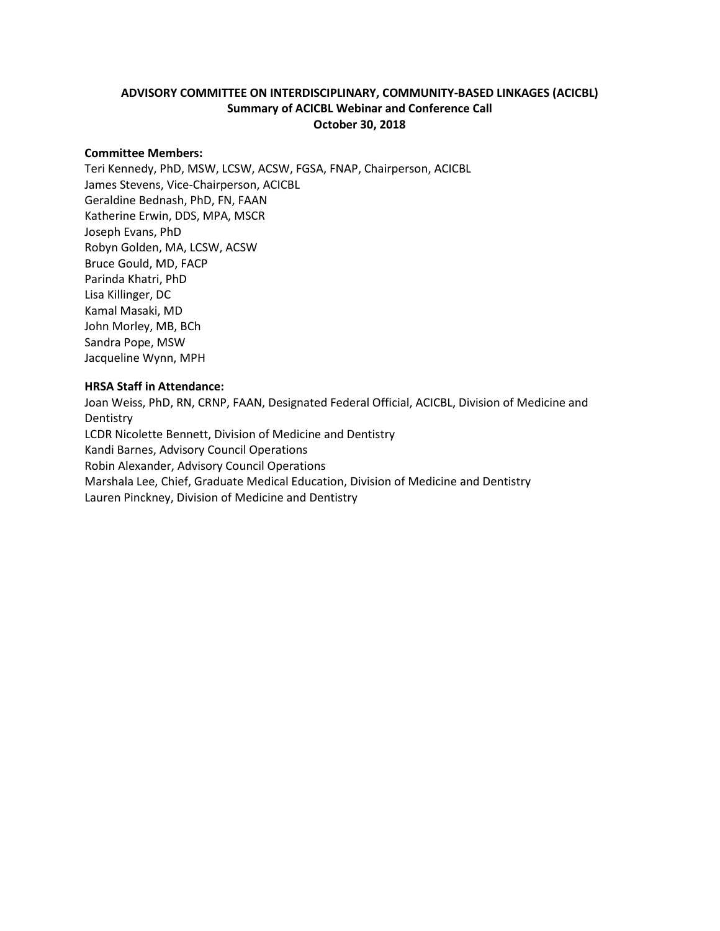## **ADVISORY COMMITTEE ON INTERDISCIPLINARY, COMMUNITY-BASED LINKAGES (ACICBL) Summary of ACICBL Webinar and Conference Call October 30, 2018**

#### **Committee Members:**

Teri Kennedy, PhD, MSW, LCSW, ACSW, FGSA, FNAP, Chairperson, ACICBL James Stevens, Vice-Chairperson, ACICBL Geraldine Bednash, PhD, FN, FAAN Katherine Erwin, DDS, MPA, MSCR Joseph Evans, PhD Robyn Golden, MA, LCSW, ACSW Bruce Gould, MD, FACP Parinda Khatri, PhD Lisa Killinger, DC Kamal Masaki, MD John Morley, MB, BCh Sandra Pope, MSW Jacqueline Wynn, MPH

#### **HRSA Staff in Attendance:**

Joan Weiss, PhD, RN, CRNP, FAAN, Designated Federal Official, ACICBL, Division of Medicine and **Dentistry** LCDR Nicolette Bennett, Division of Medicine and Dentistry Kandi Barnes, Advisory Council Operations Robin Alexander, Advisory Council Operations Marshala Lee, Chief, Graduate Medical Education, Division of Medicine and Dentistry Lauren Pinckney, Division of Medicine and Dentistry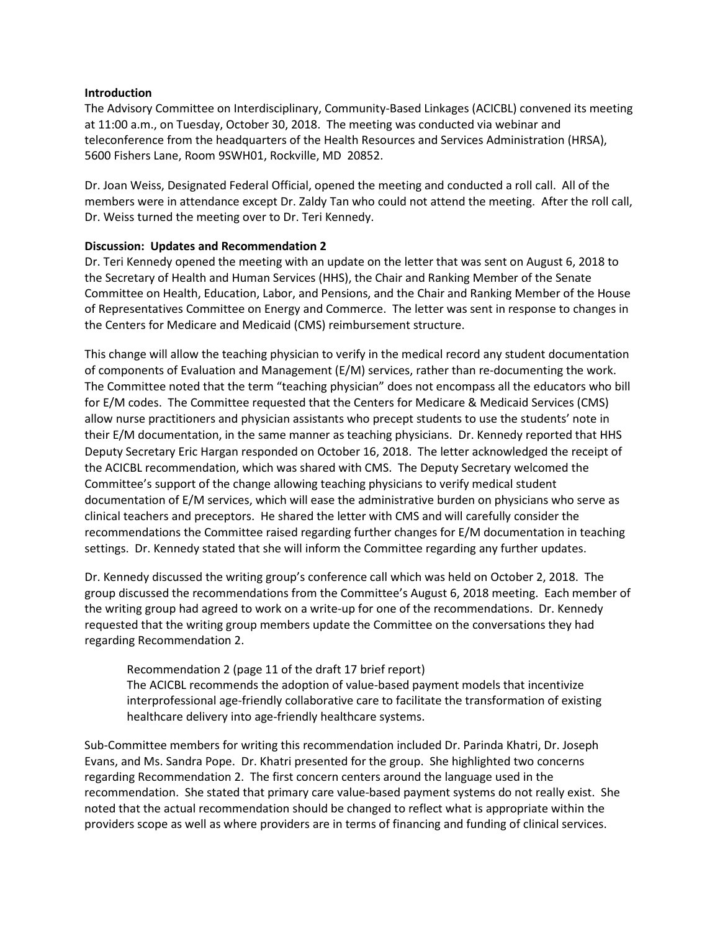#### **Introduction**

The Advisory Committee on Interdisciplinary, Community-Based Linkages (ACICBL) convened its meeting at 11:00 a.m., on Tuesday, October 30, 2018. The meeting was conducted via webinar and teleconference from the headquarters of the Health Resources and Services Administration (HRSA), 5600 Fishers Lane, Room 9SWH01, Rockville, MD 20852.

Dr. Joan Weiss, Designated Federal Official, opened the meeting and conducted a roll call. All of the members were in attendance except Dr. Zaldy Tan who could not attend the meeting. After the roll call, Dr. Weiss turned the meeting over to Dr. Teri Kennedy.

### **Discussion: Updates and Recommendation 2**

Dr. Teri Kennedy opened the meeting with an update on the letter that was sent on August 6, 2018 to the Secretary of Health and Human Services (HHS), the Chair and Ranking Member of the Senate Committee on Health, Education, Labor, and Pensions, and the Chair and Ranking Member of the House of Representatives Committee on Energy and Commerce. The letter was sent in response to changes in the Centers for Medicare and Medicaid (CMS) reimbursement structure.

This change will allow the teaching physician to verify in the medical record any student documentation of components of Evaluation and Management (E/M) services, rather than re-documenting the work. The Committee noted that the term "teaching physician" does not encompass all the educators who bill for E/M codes. The Committee requested that the Centers for Medicare & Medicaid Services (CMS) allow nurse practitioners and physician assistants who precept students to use the students' note in their E/M documentation, in the same manner as teaching physicians. Dr. Kennedy reported that HHS Deputy Secretary Eric Hargan responded on October 16, 2018. The letter acknowledged the receipt of the ACICBL recommendation, which was shared with CMS. The Deputy Secretary welcomed the Committee's support of the change allowing teaching physicians to verify medical student documentation of E/M services, which will ease the administrative burden on physicians who serve as clinical teachers and preceptors. He shared the letter with CMS and will carefully consider the recommendations the Committee raised regarding further changes for E/M documentation in teaching settings. Dr. Kennedy stated that she will inform the Committee regarding any further updates.

Dr. Kennedy discussed the writing group's conference call which was held on October 2, 2018. The group discussed the recommendations from the Committee's August 6, 2018 meeting. Each member of the writing group had agreed to work on a write-up for one of the recommendations. Dr. Kennedy requested that the writing group members update the Committee on the conversations they had regarding Recommendation 2.

Recommendation 2 (page 11 of the draft 17 brief report) The ACICBL recommends the adoption of value-based payment models that incentivize interprofessional age-friendly collaborative care to facilitate the transformation of existing healthcare delivery into age-friendly healthcare systems.

Sub-Committee members for writing this recommendation included Dr. Parinda Khatri, Dr. Joseph Evans, and Ms. Sandra Pope. Dr. Khatri presented for the group. She highlighted two concerns regarding Recommendation 2. The first concern centers around the language used in the recommendation. She stated that primary care value-based payment systems do not really exist. She noted that the actual recommendation should be changed to reflect what is appropriate within the providers scope as well as where providers are in terms of financing and funding of clinical services.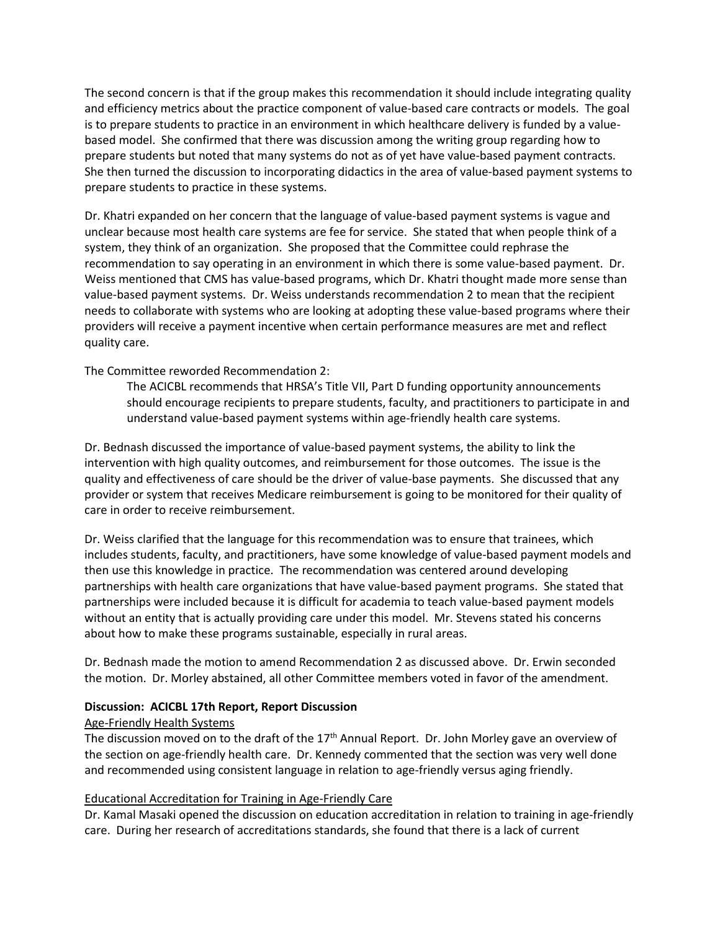The second concern is that if the group makes this recommendation it should include integrating quality and efficiency metrics about the practice component of value-based care contracts or models. The goal is to prepare students to practice in an environment in which healthcare delivery is funded by a valuebased model. She confirmed that there was discussion among the writing group regarding how to prepare students but noted that many systems do not as of yet have value-based payment contracts. She then turned the discussion to incorporating didactics in the area of value-based payment systems to prepare students to practice in these systems.

Dr. Khatri expanded on her concern that the language of value-based payment systems is vague and unclear because most health care systems are fee for service. She stated that when people think of a system, they think of an organization. She proposed that the Committee could rephrase the recommendation to say operating in an environment in which there is some value-based payment. Dr. Weiss mentioned that CMS has value-based programs, which Dr. Khatri thought made more sense than value-based payment systems. Dr. Weiss understands recommendation 2 to mean that the recipient needs to collaborate with systems who are looking at adopting these value-based programs where their providers will receive a payment incentive when certain performance measures are met and reflect quality care.

The Committee reworded Recommendation 2:

The ACICBL recommends that HRSA's Title VII, Part D funding opportunity announcements should encourage recipients to prepare students, faculty, and practitioners to participate in and understand value-based payment systems within age-friendly health care systems.

Dr. Bednash discussed the importance of value-based payment systems, the ability to link the intervention with high quality outcomes, and reimbursement for those outcomes. The issue is the quality and effectiveness of care should be the driver of value-base payments. She discussed that any provider or system that receives Medicare reimbursement is going to be monitored for their quality of care in order to receive reimbursement.

Dr. Weiss clarified that the language for this recommendation was to ensure that trainees, which includes students, faculty, and practitioners, have some knowledge of value-based payment models and then use this knowledge in practice. The recommendation was centered around developing partnerships with health care organizations that have value-based payment programs. She stated that partnerships were included because it is difficult for academia to teach value-based payment models without an entity that is actually providing care under this model. Mr. Stevens stated his concerns about how to make these programs sustainable, especially in rural areas.

Dr. Bednash made the motion to amend Recommendation 2 as discussed above. Dr. Erwin seconded the motion. Dr. Morley abstained, all other Committee members voted in favor of the amendment.

### **Discussion: ACICBL 17th Report, Report Discussion**

### Age-Friendly Health Systems

The discussion moved on to the draft of the 17<sup>th</sup> Annual Report. Dr. John Morley gave an overview of the section on age-friendly health care. Dr. Kennedy commented that the section was very well done and recommended using consistent language in relation to age-friendly versus aging friendly.

# Educational Accreditation for Training in Age-Friendly Care

Dr. Kamal Masaki opened the discussion on education accreditation in relation to training in age-friendly care. During her research of accreditations standards, she found that there is a lack of current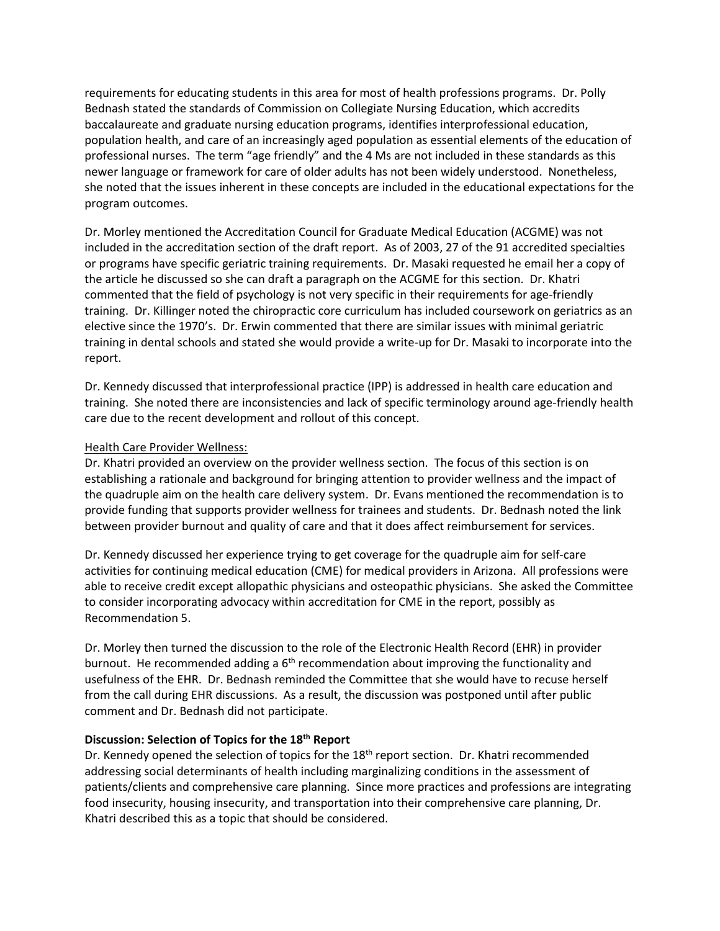requirements for educating students in this area for most of health professions programs. Dr. Polly Bednash stated the standards of Commission on Collegiate Nursing Education, which accredits baccalaureate and graduate nursing education programs, identifies interprofessional education, population health, and care of an increasingly aged population as essential elements of the education of professional nurses. The term "age friendly" and the 4 Ms are not included in these standards as this newer language or framework for care of older adults has not been widely understood. Nonetheless, she noted that the issues inherent in these concepts are included in the educational expectations for the program outcomes.

Dr. Morley mentioned the Accreditation Council for Graduate Medical Education (ACGME) was not included in the accreditation section of the draft report. As of 2003, 27 of the 91 accredited specialties or programs have specific geriatric training requirements. Dr. Masaki requested he email her a copy of the article he discussed so she can draft a paragraph on the ACGME for this section. Dr. Khatri commented that the field of psychology is not very specific in their requirements for age-friendly training. Dr. Killinger noted the chiropractic core curriculum has included coursework on geriatrics as an elective since the 1970's. Dr. Erwin commented that there are similar issues with minimal geriatric training in dental schools and stated she would provide a write-up for Dr. Masaki to incorporate into the report.

Dr. Kennedy discussed that interprofessional practice (IPP) is addressed in health care education and training. She noted there are inconsistencies and lack of specific terminology around age-friendly health care due to the recent development and rollout of this concept.

### Health Care Provider Wellness:

Dr. Khatri provided an overview on the provider wellness section. The focus of this section is on establishing a rationale and background for bringing attention to provider wellness and the impact of the quadruple aim on the health care delivery system. Dr. Evans mentioned the recommendation is to provide funding that supports provider wellness for trainees and students. Dr. Bednash noted the link between provider burnout and quality of care and that it does affect reimbursement for services.

Dr. Kennedy discussed her experience trying to get coverage for the quadruple aim for self-care activities for continuing medical education (CME) for medical providers in Arizona. All professions were able to receive credit except allopathic physicians and osteopathic physicians. She asked the Committee to consider incorporating advocacy within accreditation for CME in the report, possibly as Recommendation 5.

Dr. Morley then turned the discussion to the role of the Electronic Health Record (EHR) in provider burnout. He recommended adding a  $6<sup>th</sup>$  recommendation about improving the functionality and usefulness of the EHR. Dr. Bednash reminded the Committee that she would have to recuse herself from the call during EHR discussions. As a result, the discussion was postponed until after public comment and Dr. Bednash did not participate.

### **Discussion: Selection of Topics for the 18th Report**

Dr. Kennedy opened the selection of topics for the 18<sup>th</sup> report section. Dr. Khatri recommended addressing social determinants of health including marginalizing conditions in the assessment of patients/clients and comprehensive care planning. Since more practices and professions are integrating food insecurity, housing insecurity, and transportation into their comprehensive care planning, Dr. Khatri described this as a topic that should be considered.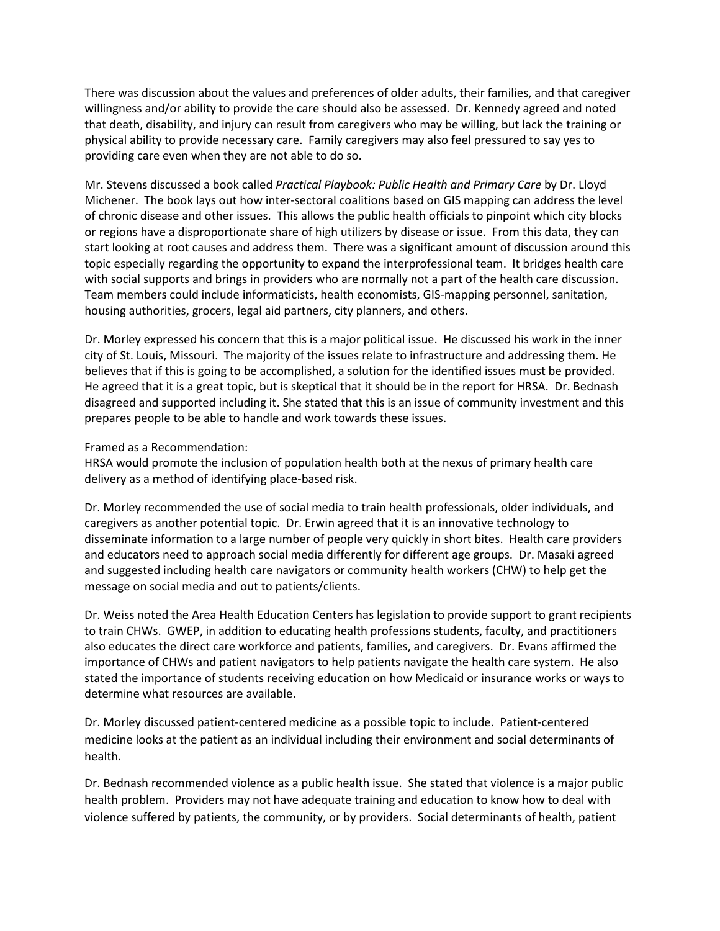There was discussion about the values and preferences of older adults, their families, and that caregiver willingness and/or ability to provide the care should also be assessed. Dr. Kennedy agreed and noted that death, disability, and injury can result from caregivers who may be willing, but lack the training or physical ability to provide necessary care. Family caregivers may also feel pressured to say yes to providing care even when they are not able to do so.

Mr. Stevens discussed a book called *Practical Playbook: Public Health and Primary Care* by Dr. Lloyd Michener. The book lays out how inter-sectoral coalitions based on GIS mapping can address the level of chronic disease and other issues. This allows the public health officials to pinpoint which city blocks or regions have a disproportionate share of high utilizers by disease or issue. From this data, they can start looking at root causes and address them. There was a significant amount of discussion around this topic especially regarding the opportunity to expand the interprofessional team. It bridges health care with social supports and brings in providers who are normally not a part of the health care discussion. Team members could include informaticists, health economists, GIS-mapping personnel, sanitation, housing authorities, grocers, legal aid partners, city planners, and others.

Dr. Morley expressed his concern that this is a major political issue. He discussed his work in the inner city of St. Louis, Missouri. The majority of the issues relate to infrastructure and addressing them. He believes that if this is going to be accomplished, a solution for the identified issues must be provided. He agreed that it is a great topic, but is skeptical that it should be in the report for HRSA. Dr. Bednash disagreed and supported including it. She stated that this is an issue of community investment and this prepares people to be able to handle and work towards these issues.

Framed as a Recommendation:

HRSA would promote the inclusion of population health both at the nexus of primary health care delivery as a method of identifying place-based risk.

Dr. Morley recommended the use of social media to train health professionals, older individuals, and caregivers as another potential topic. Dr. Erwin agreed that it is an innovative technology to disseminate information to a large number of people very quickly in short bites. Health care providers and educators need to approach social media differently for different age groups. Dr. Masaki agreed and suggested including health care navigators or community health workers (CHW) to help get the message on social media and out to patients/clients.

Dr. Weiss noted the Area Health Education Centers has legislation to provide support to grant recipients to train CHWs. GWEP, in addition to educating health professions students, faculty, and practitioners also educates the direct care workforce and patients, families, and caregivers. Dr. Evans affirmed the importance of CHWs and patient navigators to help patients navigate the health care system. He also stated the importance of students receiving education on how Medicaid or insurance works or ways to determine what resources are available.

Dr. Morley discussed patient-centered medicine as a possible topic to include. Patient-centered medicine looks at the patient as an individual including their environment and social determinants of health.

Dr. Bednash recommended violence as a public health issue. She stated that violence is a major public health problem. Providers may not have adequate training and education to know how to deal with violence suffered by patients, the community, or by providers. Social determinants of health, patient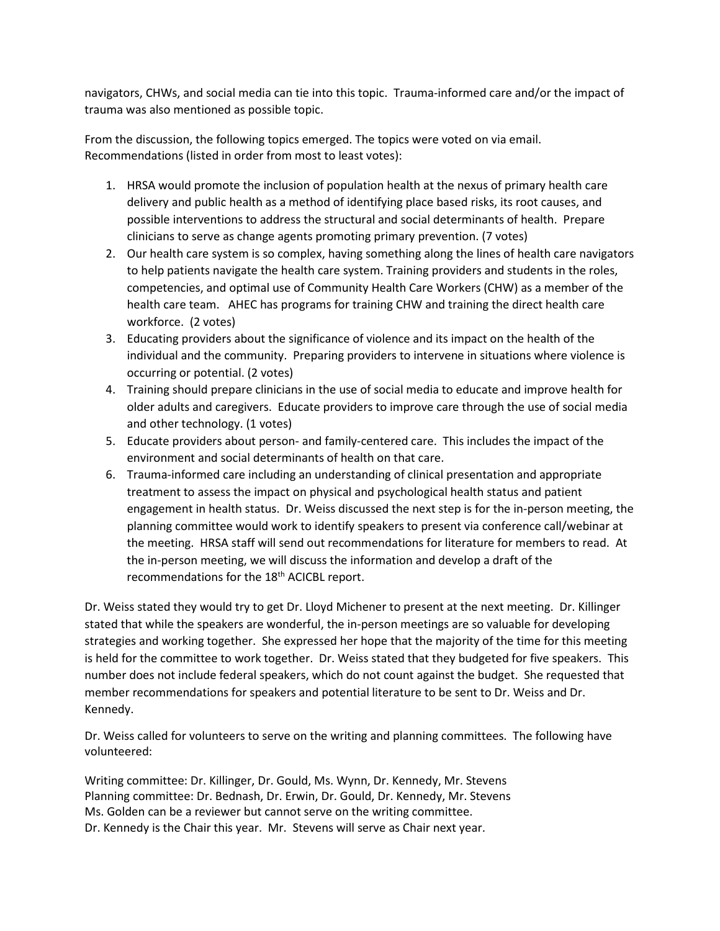navigators, CHWs, and social media can tie into this topic. Trauma-informed care and/or the impact of trauma was also mentioned as possible topic.

From the discussion, the following topics emerged. The topics were voted on via email. Recommendations (listed in order from most to least votes):

- 1. HRSA would promote the inclusion of population health at the nexus of primary health care delivery and public health as a method of identifying place based risks, its root causes, and possible interventions to address the structural and social determinants of health. Prepare clinicians to serve as change agents promoting primary prevention. (7 votes)
- 2. Our health care system is so complex, having something along the lines of health care navigators to help patients navigate the health care system. Training providers and students in the roles, competencies, and optimal use of Community Health Care Workers (CHW) as a member of the health care team. AHEC has programs for training CHW and training the direct health care workforce. (2 votes)
- 3. Educating providers about the significance of violence and its impact on the health of the individual and the community. Preparing providers to intervene in situations where violence is occurring or potential. (2 votes)
- 4. Training should prepare clinicians in the use of social media to educate and improve health for older adults and caregivers. Educate providers to improve care through the use of social media and other technology. (1 votes)
- 5. Educate providers about person- and family-centered care. This includes the impact of the environment and social determinants of health on that care.
- 6. Trauma-informed care including an understanding of clinical presentation and appropriate treatment to assess the impact on physical and psychological health status and patient engagement in health status. Dr. Weiss discussed the next step is for the in-person meeting, the planning committee would work to identify speakers to present via conference call/webinar at the meeting. HRSA staff will send out recommendations for literature for members to read. At the in-person meeting, we will discuss the information and develop a draft of the recommendations for the 18<sup>th</sup> ACICBL report.

Dr. Weiss stated they would try to get Dr. Lloyd Michener to present at the next meeting. Dr. Killinger stated that while the speakers are wonderful, the in-person meetings are so valuable for developing strategies and working together. She expressed her hope that the majority of the time for this meeting is held for the committee to work together. Dr. Weiss stated that they budgeted for five speakers. This number does not include federal speakers, which do not count against the budget. She requested that member recommendations for speakers and potential literature to be sent to Dr. Weiss and Dr. Kennedy.

Dr. Weiss called for volunteers to serve on the writing and planning committees. The following have volunteered:

Writing committee: Dr. Killinger, Dr. Gould, Ms. Wynn, Dr. Kennedy, Mr. Stevens Planning committee: Dr. Bednash, Dr. Erwin, Dr. Gould, Dr. Kennedy, Mr. Stevens Ms. Golden can be a reviewer but cannot serve on the writing committee. Dr. Kennedy is the Chair this year. Mr. Stevens will serve as Chair next year.